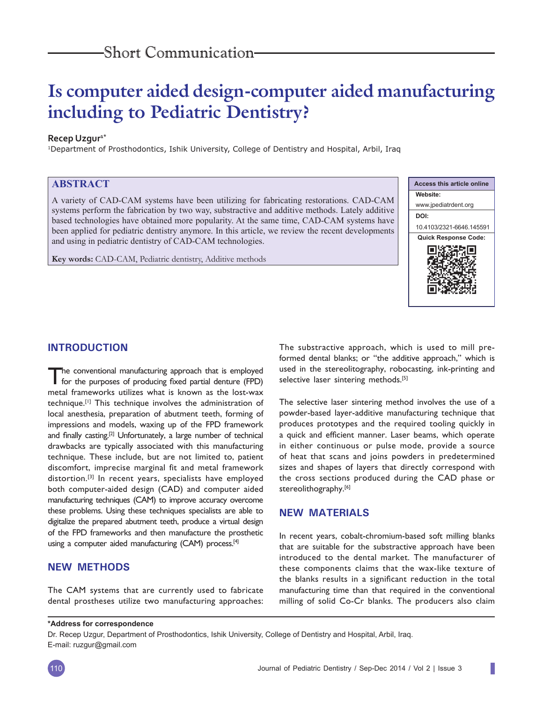# **Is computer aided design-computer aided manufacturing including to Pediatric Dentistry?**

#### **Recep Uzgur<sup>1\*</sup>**

1Department of Prosthodontics, Ishik University, College of Dentistry and Hospital, Arbil, Iraq

# **ABSTRACT**

A variety of CAD-CAM systems have been utilizing for fabricating restorations. CAD-CAM systems perform the fabrication by two way, substractive and additive methods. Lately additive based technologies have obtained more popularity. At the same time, CAD-CAM systems have been applied for pediatric dentistry anymore. In this article, we review the recent developments and using in pediatric dentistry of CAD-CAM technologies.

**Key words:** CAD-CAM, Pediatric dentistry, Additive methods



#### **INTRODUCTION**

The conventional manufacturing approach that is employed for the purposes of producing fixed partial denture (FPD) metal frameworks utilizes what is known as the lost-wax technique.[1] This technique involves the administration of local anesthesia, preparation of abutment teeth, forming of impressions and models, waxing up of the FPD framework and finally casting.<sup>[2]</sup> Unfortunately, a large number of technical drawbacks are typically associated with this manufacturing technique. These include, but are not limited to, patient discomfort, imprecise marginal fit and metal framework distortion.<sup>[3]</sup> In recent years, specialists have employed both computer-aided design (CAD) and computer aided manufacturing techniques (CAM) to improve accuracy overcome these problems. Using these techniques specialists are able to digitalize the prepared abutment teeth, produce a virtual design of the FPD frameworks and then manufacture the prosthetic using a computer aided manufacturing (CAM) process.<sup>[4]</sup>

## **NEW METHODS**

The CAM systems that are currently used to fabricate dental prostheses utilize two manufacturing approaches: The substractive approach, which is used to mill preformed dental blanks; or "the additive approach," which is used in the stereolitography, robocasting, ink-printing and selective laser sintering methods.<sup>[5]</sup>

The selective laser sintering method involves the use of a powder-based layer-additive manufacturing technique that produces prototypes and the required tooling quickly in a quick and efficient manner. Laser beams, which operate in either continuous or pulse mode, provide a source of heat that scans and joins powders in predetermined sizes and shapes of layers that directly correspond with the cross sections produced during the CAD phase or stereolithography.<sup>[6]</sup>

### **NEW MATERIALS**

In recent years, cobalt-chromium-based soft milling blanks that are suitable for the substractive approach have been introduced to the dental market. The manufacturer of these components claims that the wax-like texture of the blanks results in a significant reduction in the total manufacturing time than that required in the conventional milling of solid Co-Cr blanks. The producers also claim

#### **\*Address for correspondence**

Dr. Recep Uzgur, Department of Prosthodontics, Ishik University, College of Dentistry and Hospital, Arbil, Iraq. E-mail: ruzgur@gmail.com